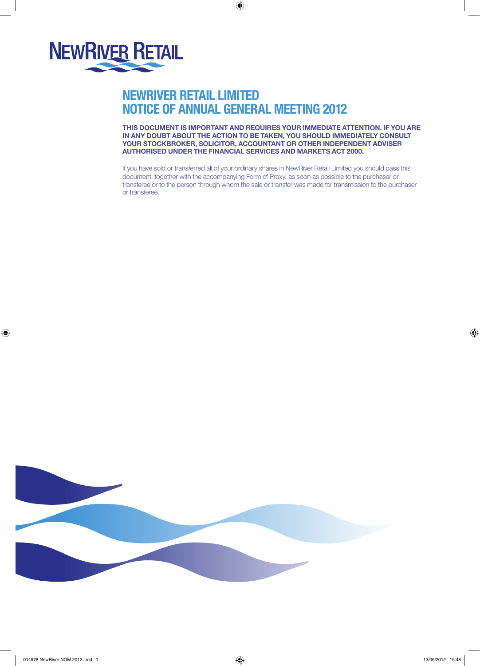

# NewRiver Retail Limited NOTICE OF ANNUAL GENERAL MEETING 2012

 $\bigoplus$ 

THIS DOCUMENT IS IMPORTANT AND REQUIRES YOUR IMMEDIATE ATTENTION. IF YOU ARE IN ANY DOUBT ABOUT THE ACTION TO BE TAKEN, YOU SHOULD IMMEDIATELY CONSULT YOUR STOCKBROKER, SOLICITOR, ACCOUNTANT OR OTHER INDEPENDENT ADVISER AUTHORISED UNDER THE FINANCIAL SERVICES AND MARKETS ACT 2000.

If you have sold or transferred all of your ordinary shares in NewRiver Retail Limited you should pass this document, together with the accompanying Form of Proxy, as soon as possible to the purchaser or transferee or to the person through whom the sale or transfer was made for transmission to the purchaser or transferee.



 $\bigoplus$ 

⊕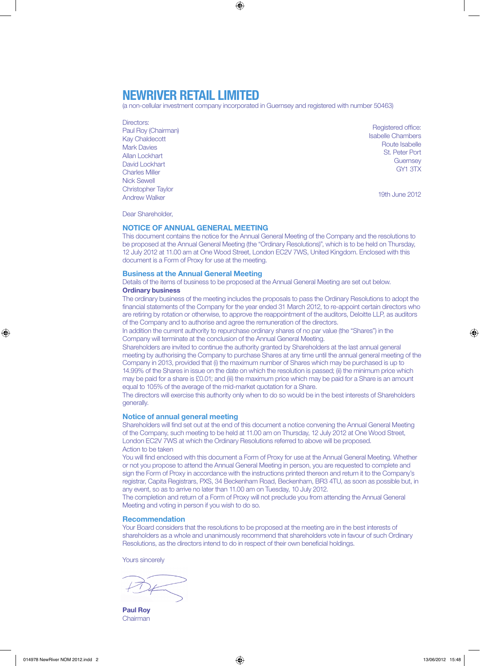### NewRiver Retail Limited

(a non-cellular investment company incorporated in Guernsey and registered with number 50463)

⊕

- Directors:
- Paul Roy (Chairman) Kay Chaldecott Mark Davies Allan Lockhart David Lockhart Charles Miller Nick Sewell Christopher Taylor Andrew Walker

Registered office: Isabelle Chambers Route Isabelle St. Peter Port **Guernsey** GY1 3TX

19th June 2012

Dear Shareholder,

### NOTICE OF ANNUAL GENERAL MEETING

This document contains the notice for the Annual General Meeting of the Company and the resolutions to be proposed at the Annual General Meeting (the "Ordinary Resolutions)", which is to be held on Thursday, 12 July 2012 at 11.00 am at One Wood Street, London EC2V 7WS, United Kingdom. Enclosed with this document is a Form of Proxy for use at the meeting.

### Business at the Annual General Meeting

Details of the items of business to be proposed at the Annual General Meeting are set out below. Ordinary business

The ordinary business of the meeting includes the proposals to pass the Ordinary Resolutions to adopt the financial statements of the Company for the year ended 31 March 2012, to re-appoint certain directors who are retiring by rotation or otherwise, to approve the reappointment of the auditors, Deloitte LLP, as auditors of the Company and to authorise and agree the remuneration of the directors.

In addition the current authority to repurchase ordinary shares of no par value (the "Shares") in the Company will terminate at the conclusion of the Annual General Meeting.

Shareholders are invited to continue the authority granted by Shareholders at the last annual general meeting by authorising the Company to purchase Shares at any time until the annual general meeting of the Company in 2013, provided that (i) the maximum number of Shares which may be purchased is up to 14.99% of the Shares in issue on the date on which the resolution is passed; (ii) the minimum price which may be paid for a share is £0.01; and (iii) the maximum price which may be paid for a Share is an amount equal to 105% of the average of the mid-market quotation for a Share.

The directors will exercise this authority only when to do so would be in the best interests of Shareholders generally.

### Notice of annual general meeting

Shareholders will find set out at the end of this document a notice convening the Annual General Meeting of the Company, such meeting to be held at 11.00 am on Thursday, 12 July 2012 at One Wood Street, London EC2V 7WS at which the Ordinary Resolutions referred to above will be proposed. Action to be taken

You will find enclosed with this document a Form of Proxy for use at the Annual General Meeting. Whether or not you propose to attend the Annual General Meeting in person, you are requested to complete and sign the Form of Proxy in accordance with the instructions printed thereon and return it to the Company's registrar, Capita Registrars, PXS, 34 Beckenham Road, Beckenham, BR3 4TU, as soon as possible but, in any event, so as to arrive no later than 11.00 am on Tuesday, 10 July 2012.

The completion and return of a Form of Proxy will not preclude you from attending the Annual General Meeting and voting in person if you wish to do so.

### Recommendation

Your Board considers that the resolutions to be proposed at the meeting are in the best interests of shareholders as a whole and unanimously recommend that shareholders vote in favour of such Ordinary Resolutions, as the directors intend to do in respect of their own beneficial holdings.

Yours sincerely

Paul Roy Chairman

⊕

♠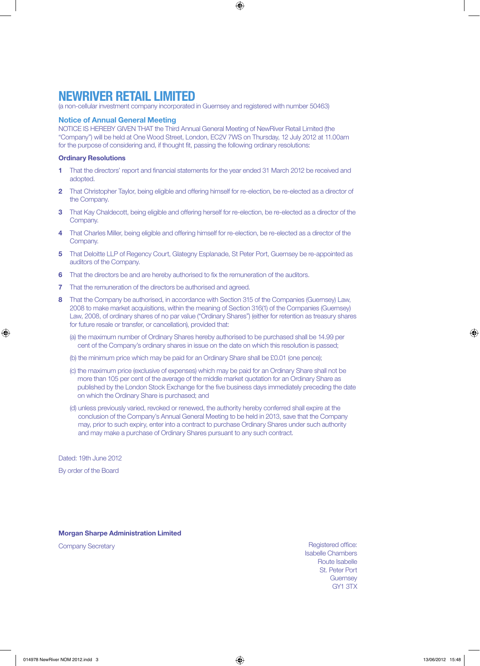$\bigoplus$ 

## NewRiver Retail Limited

(a non-cellular investment company incorporated in Guernsey and registered with number 50463)

### Notice of Annual General Meeting

NOTICE IS HEREBY GIVEN THAT the Third Annual General Meeting of NewRiver Retail Limited (the "Company") will be held at One Wood Street, London, EC2V 7WS on Thursday, 12 July 2012 at 11.00am for the purpose of considering and, if thought fit, passing the following ordinary resolutions:

### Ordinary Resolutions

- 1 That the directors' report and financial statements for the year ended 31 March 2012 be received and adopted.
- 2 That Christopher Taylor, being eligible and offering himself for re-election, be re-elected as a director of the Company.
- 3 That Kay Chaldecott, being eligible and offering herself for re-election, be re-elected as a director of the Company
- That Charles Miller, being eligible and offering himself for re-election, be re-elected as a director of the Company.
- 5 That Deloitte LLP of Regency Court, Glategny Esplanade, St Peter Port, Guernsey be re-appointed as auditors of the Company.
- 6 That the directors be and are hereby authorised to fix the remuneration of the auditors.
- **7** That the remuneration of the directors be authorised and agreed.
- That the Company be authorised, in accordance with Section 315 of the Companies (Guernsey) Law, 2008 to make market acquisitions, within the meaning of Section 316(1) of the Companies (Guernsey) Law, 2008, of ordinary shares of no par value ("Ordinary Shares") (either for retention as treasury shares for future resale or transfer, or cancellation), provided that:
	- (a) the maximum number of Ordinary Shares hereby authorised to be purchased shall be 14.99 per cent of the Company's ordinary shares in issue on the date on which this resolution is passed;
	- (b) the minimum price which may be paid for an Ordinary Share shall be £0.01 (one pence);
	- (c) the maximum price (exclusive of expenses) which may be paid for an Ordinary Share shall not be more than 105 per cent of the average of the middle market quotation for an Ordinary Share as published by the London Stock Exchange for the five business days immediately preceding the date on which the Ordinary Share is purchased; and
	- (d) unless previously varied, revoked or renewed, the authority hereby conferred shall expire at the conclusion of the Company's Annual General Meeting to be held in 2013, save that the Company may, prior to such expiry, enter into a contract to purchase Ordinary Shares under such authority and may make a purchase of Ordinary Shares pursuant to any such contract.

Dated: 19th June 2012

♠

By order of the Board

#### Morgan Sharpe Administration Limited

Company Secretary **Registered office:** Company Secretary Isabelle Chambers Route Isabelle St. Peter Port **Guernsey** GY1 3TX

014978 NewRiver NOM 2012.indd 3 13/06/2012 15:48

⊕